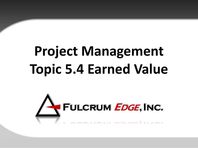# **Project Management Topic 5.4 Earned Value**

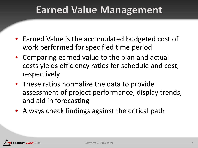### **Earned Value Management**

- Earned Value is the accumulated budgeted cost of work performed for specified time period
- Comparing earned value to the plan and actual costs yields efficiency ratios for schedule and cost, respectively
- These ratios normalize the data to provide assessment of project performance, display trends, and aid in forecasting
- Always check findings against the critical path

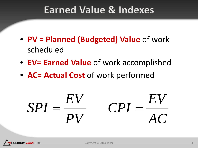### **Earned Value & Indexes**

- **PV = Planned (Budgeted) Value** of work scheduled
- **EV= Earned Value** of work accomplished
- **AC= Actual Cost** of work performed

$$
SPI = \frac{EV}{PV} \qquad CPI = \frac{EV}{AC}
$$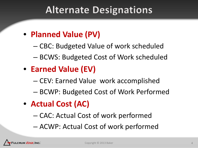### **Alternate Designations**

#### • **Planned Value (PV)**

- CBC: Budgeted Value of work scheduled
- BCWS: Budgeted Cost of Work scheduled

### • **Earned Value (EV)**

- CEV: Earned Value work accomplished
- BCWP: Budgeted Cost of Work Performed
- **Actual Cost (AC)**
	- CAC: Actual Cost of work performed
	- ACWP: Actual Cost of work performed

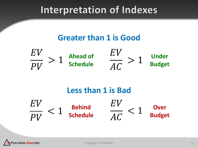### Interpretation of Indexes

#### **Greater than 1 is Good**





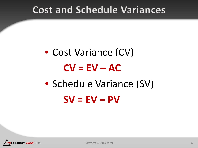### **Cost and Schedule Variances**

## • Cost Variance (CV)  $CV = EV - AC$ • Schedule Variance (SV)  $SV = EV - PV$

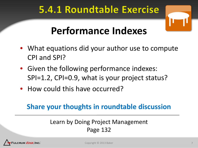### 5.4.1 Roundtable Exercise



### **Performance Indexes**

- What equations did your author use to compute CPI and SPI?
- Given the following performance indexes: SPI=1.2, CPI=0.9, what is your project status?
- How could this have occurred?

#### **Share your thoughts in roundtable discussion**

#### Learn by Doing Project Management Page 132

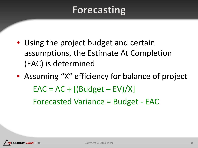### Forecasting

- Using the project budget and certain assumptions, the Estimate At Completion (EAC) is determined
- Assuming "X" efficiency for balance of project  $EAC = AC + [(Budget - EV)/X]$ – Forecasted Variance = Budget - EAC

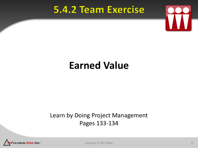### **5.4.2 Team Exercise**



### **Earned Value**

#### Learn by Doing Project Management Pages 133-134



Copyright © 2013 Baker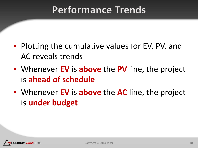### **Performance Trends**

- Plotting the cumulative values for EV, PV, and AC reveals trends
- Whenever **EV** is **above** the **PV** line, the project is **ahead of schedule**
- Whenever **EV** is **above** the **AC** line, the project is **under budget**